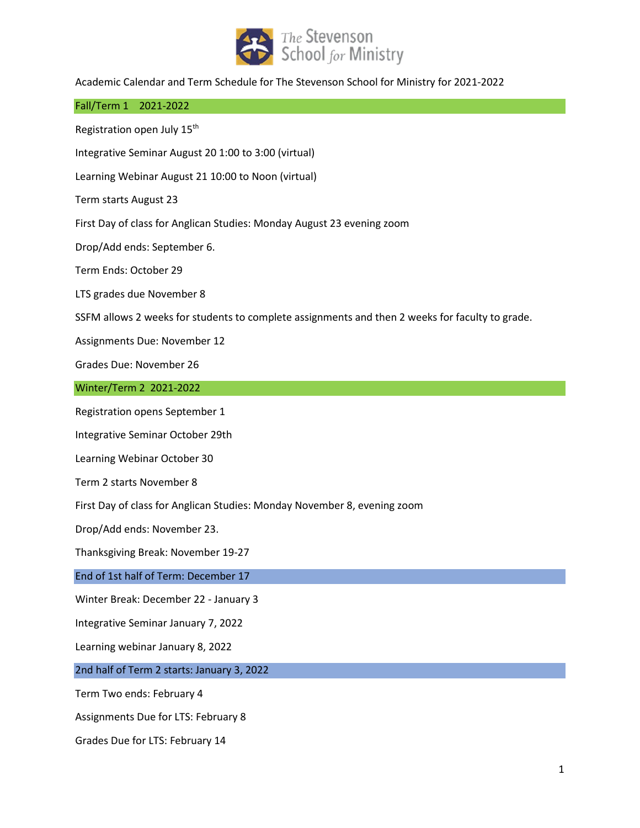

Academic Calendar and Term Schedule for The Stevenson School for Ministry for 2021-2022

## Fall/Term 1 2021-2022

Registration open July 15<sup>th</sup>

Integrative Seminar August 20 1:00 to 3:00 (virtual)

Learning Webinar August 21 10:00 to Noon (virtual)

Term starts August 23

First Day of class for Anglican Studies: Monday August 23 evening zoom

Drop/Add ends: September 6.

Term Ends: October 29

LTS grades due November 8

SSFM allows 2 weeks for students to complete assignments and then 2 weeks for faculty to grade.

Assignments Due: November 12

Grades Due: November 26

## Winter/Term 2 2021-2022

Registration opens September 1

Integrative Seminar October 29th

Learning Webinar October 30

Term 2 starts November 8

First Day of class for Anglican Studies: Monday November 8, evening zoom

Drop/Add ends: November 23.

Thanksgiving Break: November 19-27

## End of 1st half of Term: December 17

Winter Break: December 22 - January 3

Integrative Seminar January 7, 2022

Learning webinar January 8, 2022

## 2nd half of Term 2 starts: January 3, 2022

Term Two ends: February 4

Assignments Due for LTS: February 8

Grades Due for LTS: February 14